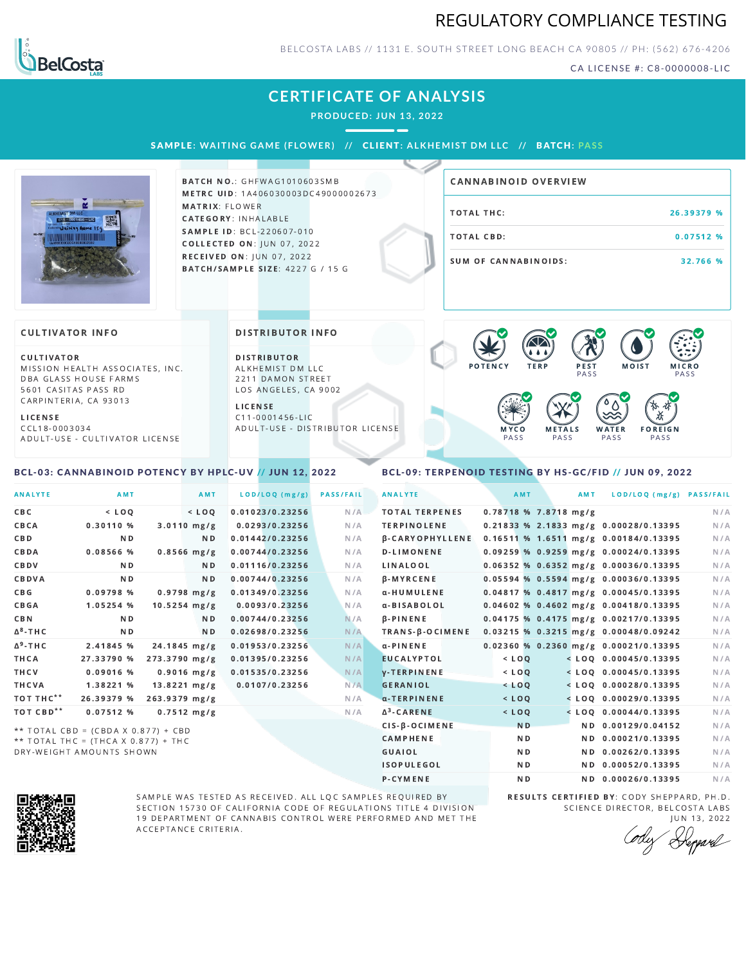## REGULATORY COMPLIANCE TESTING



BELCOSTA LABS // 1131 E. SOUTH STREET LONG BEACH C A 90805 // PH: (562) 676-4206

CA LICENSE #: C8-0000008-LIC

# **CERTIFICATE OF ANALYSIS**

**PRODUCED: JUN 13, 2022**

SAMPL E **: WA ITING GAME ( F LOWER) //** CL I ENT**: A LKHEMI ST DM L LC //** BATCH**: PA S S**



**BATCH NO.: GHFWAG1010603SMB** METRC UID: 1A406030003DC49000002673 MATRIX: FLOWER CATEGORY: INHALABLE SAMPLE ID: BCL-220607-010 **COLLECTED ON: JUN 07, 2022** RECEIVED ON: JUN 07, 2022 BATCH/SAMPLE SIZE: 4227 G / 15 G

# TOTAL THC: 26.39379 % TOTAL CBD: 0.07512 % SUM OF CANNABINOIDS: 32.766 % CANNABINOID OVERVIEW

#### **CULTIVATOR INFO**

CULTIVATOR MISSION HEALTH ASSOCIATES, INC. DBA GLASS HOUSE FARMS 5601 CASITAS PASS RD CARPINTERIA, CA 93013

L I C E N S E

C C L 1 8 - 0 0 0 3 0 3 4 A D U L T - U S E - C U L T I V A T O R L I CENSE

<span id="page-0-0"></span>BCL-03: CANNABINOID POTENCY BY HPLC-UV // JUN 12, 2022

DISTRIBUTOR INFO

D I STRIBUTOR ALKHEMIST DM LLC 2211 DAMON STREET LOS ANGELES, CA 9002

L I C E N S E C 1 1 - 0 0 0 1 4 5 6 - L I C A D U L T - U S E - D I STRIBUTOR LICENSE



#### <span id="page-0-1"></span>BCL-09: TERPENOID TESTING BY HS-GC/FID // JUN 09, 2022

| <b>ANALYTE</b>        | AMT                                 |                        | AMT            | LOD/LOQ (mg/g)  | <b>PASS/FAIL</b> | <b>ANALYTE</b>         | AMT            | AMT                   | LOD/LOQ (mg/g) PASS/FAIL                |     |
|-----------------------|-------------------------------------|------------------------|----------------|-----------------|------------------|------------------------|----------------|-----------------------|-----------------------------------------|-----|
| C B C                 | $<$ LOO                             | $<$ LOQ                |                | 0.01023/0.23256 | N/A              | <b>TOTAL TERPENES</b>  |                | 0.78718 % 7.8718 mg/g |                                         | N/A |
| CBCA                  | 0.30110%                            | $3.0110$ mg/g          |                | 0.0293/0.23256  | N/A              | <b>TERPINOLENE</b>     |                |                       | 0.21833 % 2.1833 mg/g 0.00028/0.13395   | N/A |
| CBD                   | N <sub>D</sub>                      |                        | N <sub>D</sub> | 0.01442/0.23256 | N/A              | <b>B-CARYOPHYLLENE</b> |                |                       | 0.16511 % 1.6511 mg/g 0.00184/0.13395   | N/A |
| CBDA                  | 0.08566 %                           | $0.8566$ mg/g          |                | 0.00744/0.23256 | N/A              | <b>D-LIMONENE</b>      |                |                       | $0.09259$ % 0.9259 mg/g 0.00024/0.13395 | N/A |
| CBDV                  | N <sub>D</sub>                      |                        | ND.            | 0.01116/0.23256 | N/A              | LINALOOL               |                |                       | $0.06352$ % 0.6352 mg/g 0.00036/0.13395 | N/A |
| CBDVA                 | N <sub>D</sub>                      |                        | N <sub>D</sub> | 0.00744/0.23256 | N/A              | <b>B-MYRCENE</b>       |                |                       | $0.05594$ % 0.5594 mg/g 0.00036/0.13395 | N/A |
| C B G                 | 0.09798 %                           | $0.9798$ mg/g          |                | 0.01349/0.23256 | N/A              | α-HUMULENE             |                |                       | 0.04817 % 0.4817 mg/g 0.00045/0.13395   | N/A |
| <b>CBGA</b>           | 1.05254 %                           | $10.5254$ mg/g         |                | 0.0093/0.23256  | N/A              | α-BISABOLOL            |                |                       | $0.04602$ % 0.4602 mg/g 0.00418/0.13395 | N/A |
| CBN                   | N <sub>D</sub>                      |                        | N D            | 0.00744/0.23256 | N/A              | <b>B-PINENE</b>        |                |                       | 0.04175 % 0.4175 mg/g 0.00217/0.13395   | N/A |
| $\Delta^8$ -THC       | N <sub>D</sub>                      |                        | N <sub>D</sub> | 0.02698/0.23256 | N/A              | TRANS-B-OCIMENE        |                |                       | 0.03215 % 0.3215 mg/g 0.00048/0.09242   | N/A |
| $\Delta^9$ -THC       | 2.41845 %                           | 24.1845 mg/g           |                | 0.01953/0.23256 | N/A              | $\alpha$ -PINENE       |                |                       | $0.02360$ % 0.2360 mg/g 0.00021/0.13395 | N/A |
| THCA                  | 27.33790 %                          | 273.3790 mg/g          |                | 0.01395/0.23256 | N/A              | <b>EUCALYPTOL</b>      | $<$ LOQ        |                       | $<$ LOQ 0.00045/0.13395                 | N/A |
| THCV                  | 0.09016 %                           | $0.9016$ mg/g          |                | 0.01535/0.23256 | N/A              | <b>V-TERPINENE</b>     | $<$ $LOQ$      |                       | $<$ LOQ 0.00045/0.13395                 | N/A |
| THCVA                 | 1.38221 %                           | $13.8221 \text{ mg/g}$ |                | 0.0107/0.23256  | N/A              | <b>GERANIOL</b>        | $<$ LOQ        |                       | $<$ LOQ 0.00028/0.13395                 | N/A |
| TOT THC**             | 26.39379 %                          | 263.9379 mg/g          |                |                 | N/A              | $\alpha$ -TERPINENE    | $<$ LOQ        |                       | $<$ LOQ 0.00029/0.13395                 | N/A |
| TOT CBD <sup>**</sup> | 0.07512%                            | $0.7512$ mg/g          |                |                 | N/A              | $\Delta^3$ -CARENE     | $<$ LOQ        |                       | $<$ LOQ 0.00044/0.13395                 | N/A |
|                       | ** TOTAL CBD = (CBDA X 0.877) + CBD |                        |                |                 |                  | CIS-B-OCIMENE          | N <sub>D</sub> |                       | ND 0.00129/0.04152                      | N/A |
|                       | ** TOTAL THC = (THCA X 0.877) + THC |                        |                |                 |                  | <b>CAMPHENE</b>        | N <sub>D</sub> |                       | ND 0.00021/0.13395                      | N/A |
|                       | DRY-WEIGHT AMOUNTS SHOWN            |                        |                |                 |                  | <b>GUAIOL</b>          | N <sub>D</sub> |                       | ND 0.00262/0.13395                      | N/A |



SAMPLE WAS TESTED AS RECEIVED. ALL LQC SAMPLES REQUIRED BY SECTION 15730 OF CALIFORNIA CODE OF REGULATIONS TITLE 4 DIVISION 19 DEPARTMENT OF CANNABIS CONTROL WERE PERFORMED AND MET THE A C C E P T A N C E C R I T E R I A.

RESULTS CERTIFIED BY: CODY SHEPPARD, PH.D. SCIENCE DIRECTOR, BELCOSTA LABS

ISOPULEGOL ND ND 0.00052/0.13395 N/A P-CYMENE ND ND ND 0.00026/0.13395 N/A

J U N 1 3 , 2 0 2 2 Deppard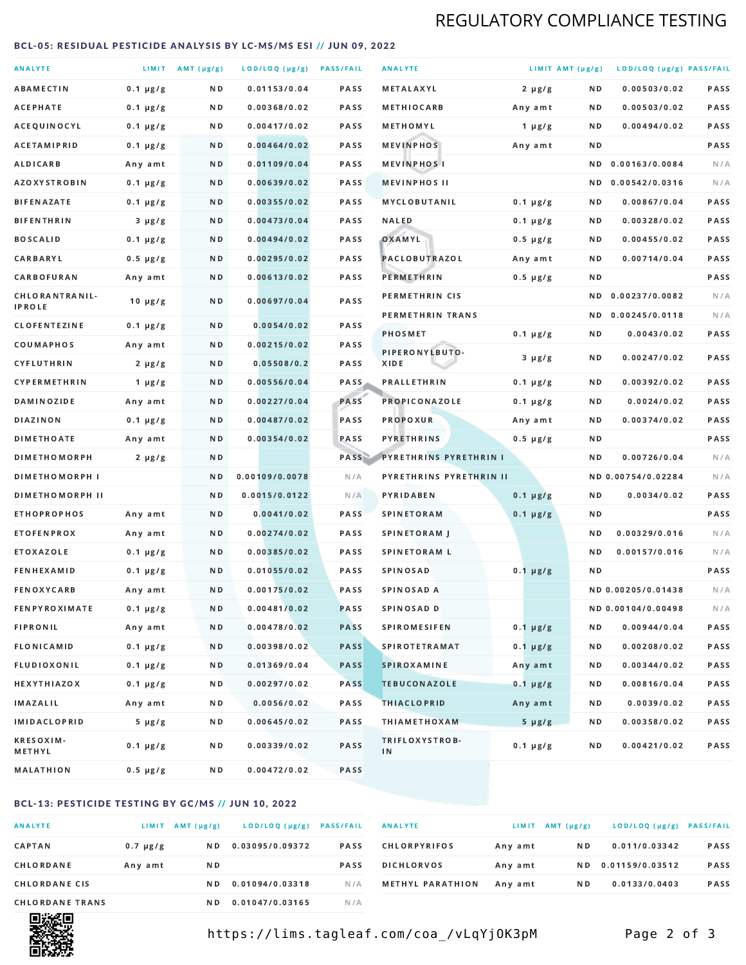# REGULATORY COMPLIANCE TESTING

#### <span id="page-1-0"></span>BCL-05: RESIDUAL PESTICIDE ANALYSIS BY LC-MS/MS ESI // JUN 09, 2022

| <b>ANALYTE</b>                  |               | LIMIT $AMT (\mu g/g)$ | LOD/LOQ (µg/g) PASS/FAIL |             | <b>ANALYTE</b>          | LIMIT AMT (µg/g) |     | LOD/LOQ (µg/g) PASS/FAIL |             |
|---------------------------------|---------------|-----------------------|--------------------------|-------------|-------------------------|------------------|-----|--------------------------|-------------|
| <b>ABAMECTIN</b>                | $0.1 \mu g/g$ | N D                   | 0.01153/0.04             | <b>PASS</b> | <b>METALAXYL</b>        | $2 \mu g/g$      | N D | 0.00503/0.02             | PASS        |
| <b>ACEPHATE</b>                 | $0.1 \mu g/g$ | ND.                   | 0.00368/0.02             | PASS        | <b>METHIOCARB</b>       | Any amt          | N D | 0.00503/0.02             | PASS        |
| ACEQUINOCYL                     | $0.1 \mu g/g$ | ND.                   | 0.00417/0.02             | PASS        | METHOMYL                | 1 $\mu$ g/g      | N D | 0.00494/0.02             | PASS        |
| <b>ACETAMIPRID</b>              | $0.1 \mu g/g$ | N D                   | 0.00464/0.02             | <b>PASS</b> | <b>MEVINPHOS</b>        | Any amt          | N D |                          | PASS        |
| <b>ALDICARB</b>                 | Any amt       | N D                   | 0.01109/0.04             | <b>PASS</b> | <b>MEVINPHOSI</b>       |                  | N D | 0.00163/0.0084           | N/A         |
| <b>AZOXYSTROBIN</b>             | $0.1 \mu g/g$ | ND.                   | 0.00639/0.02             | PASS        | <b>MEVINPHOS II</b>     |                  | N D | 0.00542/0.0316           | N/A         |
| <b>BIFENAZATE</b>               | $0.1 \mu g/g$ | N D                   | 0.00355/0.02             | PASS        | <b>MYCLOBUTANIL</b>     | $0.1 \mu g/g$    | N D | 0.00867/0.04             | PASS        |
| <b>BIFENTHRIN</b>               | $3 \mu g/g$   | N D                   | 0.00473/0.04             | <b>PASS</b> | <b>NALED</b>            | $0.1 \mu g/g$    | N D | 0.00328/0.02             | PASS        |
| <b>BOSCALID</b>                 | $0.1 \mu g/g$ | N D                   | 0.00494/0.02             | PASS        | OXAMYL                  | $0.5 \mu g/g$    | N D | 0.00455/0.02             | PASS        |
| CARBARYL                        | $0.5 \mu g/g$ | N D                   | 0.00295/0.02             | PASS        | PACLOBUTRAZOL           | Any amt          | N D | 0.00714/0.04             | <b>PASS</b> |
| CARBOFURAN                      | Any amt       | N D                   | 0.00613/0.02             | <b>PASS</b> | <b>PERMETHRIN</b>       | $0.5 \mu g/g$    | N D |                          | PASS        |
| CHLORANTRANIL-<br><b>IPROLE</b> | $10 \mu g/g$  | N D                   | 0.00697/0.04             | PASS        | PERMETHRIN CIS          |                  | N D | 0.00237/0.0082           | N/A         |
| <b>CLOFENTEZINE</b>             | $0.1 \mu g/g$ | N D                   | 0.0054/0.02              | <b>PASS</b> | PERMETHRIN TRANS        |                  | N D | 0.00245/0.0118           | N/A         |
| COUMAPHOS                       | Any amt       | N D                   | 0.00215/0.02             | <b>PASS</b> | <b>PHOSMET</b>          | $0.1 \mu g/g$    | N D | 0.0043/0.02              | PASS        |
| <b>CYFLUTHRIN</b>               | $2 \mu g/g$   | ND.                   | 0.05508/0.2              | <b>PASS</b> | PIPERONYLBUTO-<br>XIDE  | $3 \mu g/g$      | N D | 0.00247/0.02             | PASS        |
| <b>CYPERMETHRIN</b>             | 1 $\mu$ g/g   | N D                   | 0.00556/0.04             | <b>PASS</b> | <b>PRALLETHRIN</b>      | $0.1 \mu g/g$    | N D | 0.00392/0.02             | PASS        |
| <b>DAMINOZIDE</b>               | Any amt       | N D                   | 0.00227/0.04             | PASS        | <b>PROPICONAZOLE</b>    | $0.1 \mu g/g$    | N D | 0.0024/0.02              | PASS        |
| <b>DIAZINON</b>                 | $0.1 \mu g/g$ | N D                   | 0.00487/0.02             | <b>PASS</b> | <b>PROPOXUR</b>         | Any amt          | N D | 0.00374/0.02             | PASS        |
| <b>DIMETHOATE</b>               | Any amt       | ND.                   | 0.00354/0.02             | PASS        | <b>PYRETHRINS</b>       | $0.5 \mu g/g$    | N D |                          | PASS        |
| <b>DIMETHOMORPH</b>             | $2 \mu g/g$   | N D                   |                          | PASS        | PYRETHRINS PYRETHRIN I  |                  | N D | 0.00726/0.04             | N/A         |
| <b>DIMETHOMORPH I</b>           |               | N D                   | 0.00109/0.0078           | N/A         | PYRETHRINS PYRETHRIN II |                  |     | ND 0.00754/0.02284       | N/A         |
| <b>DIMETHOMORPH II</b>          |               | ND                    | 0.0015/0.0122            | N/A         | PYRIDABEN               | $0.1 \mu g/g$    | N D | 0.0034/0.02              | PASS        |
| <b>ETHOPROPHOS</b>              | Any amt       | ND.                   | 0.0041/0.02              | PASS        | <b>SPINETORAM</b>       | $0.1 \mu g/g$    | N D |                          | PASS        |
| <b>ETOFENPROX</b>               | Any amt       | N D                   | 0.00274/0.02             | <b>PASS</b> | <b>SPINETORAM J</b>     |                  | N D | 0.00329/0.016            | N/A         |
| <b>ETOXAZOLE</b>                | $0.1 \mu g/g$ | N D                   | 0.00385/0.02             | PASS        | <b>SPINETORAM L</b>     |                  | N D | 0.00157/0.016            | N/A         |
| <b>FENHEXAMID</b>               | $0.1 \mu g/g$ | N D                   | 0.01055/0.02             | <b>PASS</b> | <b>SPINOSAD</b>         | $0.1 \mu g/g$    | N D |                          | <b>PASS</b> |
| <b>FENOXYCARB</b>               | Any amt       | N D                   | 0.00175/0.02             | <b>PASS</b> | SPINOSAD A              |                  |     | ND 0.00205/0.01438       | N/A         |
| <b>FENPYROXIMATE</b>            | $0.1 \mu g/g$ | N D                   | 0.00481/0.02             | <b>PASS</b> | SPINOSAD D              |                  |     | ND 0.00104/0.00498       | N/A         |
| <b>FIPRONIL</b>                 | Any amt       | N D                   | 0.00478/0.02             | <b>PASS</b> | <b>SPIROMESIFEN</b>     | $0.1 \mu g/g$    | N D | 0.00944/0.04             | PASS        |
| <b>FLONICAMID</b>               | $0.1 \mu g/g$ | N D                   | 0.00398/0.02             | <b>PASS</b> | <b>SPIROTETRAMAT</b>    | $0.1 \mu g/g$    | N D | 0.00208/0.02             | PASS        |
| FLUDIOXONIL                     | $0.1 \mu g/g$ | N D                   | 0.01369/0.04             | <b>PASS</b> | <b>SPIROXAMINE</b>      | Any amt          | N D | 0.00344/0.02             | PASS        |
| <b>HEXYTHIAZOX</b>              | 0.1 µg/g      | N D                   | 0.00297/0.02             | <b>PASS</b> | <b>TEBUCONAZOLE</b>     | $0.1 \mu g/g$    | N D | 0.00816/0.04             | PASS        |
| IMAZALIL                        | Any amt       | N D                   | 0.0056/0.02              | PASS        | <b>THIACLOPRID</b>      | Any amt          | N D | 0.0039/0.02              | PASS        |
| <b>IMIDACLOPRID</b>             | $5 \mu g/g$   | N D                   | 0.00645/0.02             | PASS        | <b>THIAMETHOXAM</b>     | $5 \mu g/g$      | N D | 0.00358/0.02             | PASS        |
| <b>KRESOXIM-</b><br>METHYL      | $0.1 \mu g/g$ | N D                   | 0.00339/0.02             | PASS        | TRIFLOXYSTROB-<br>IN    | $0.1 \mu g/g$    | N D | 0.00421/0.02             | PASS        |
| MALATHION                       | 0.5 µg/g      | N D                   | 0.00472/0.02             | PASS        |                         |                  |     |                          |             |

#### BCL-13: PESTICIDE TESTING BY GC/MS // JUN 10, 2022

| <b>ANALYTE</b>         | <b>LIMIT</b>  | $AMT(\mu g/g)$ | LOD/LOQ (µg/g)  | <b>PASS/FAIL</b> |
|------------------------|---------------|----------------|-----------------|------------------|
| <b>CAPTAN</b>          | $0.7 \mu g/g$ | N D            | 0.03095/0.09372 | <b>PASS</b>      |
| CHLORDANE              | Any amt       | N D            |                 | <b>PASS</b>      |
| <b>CHLORDANE CIS</b>   |               | N D            | 0.01094/0.03318 | N / A            |
| <b>CHLORDANE TRANS</b> |               | N D            | 0.01047/0.03165 | N / A            |

| <b>ANALYTE</b>          | <b>LIMIT</b> | AMT (µg/g) | LOD/LOQ (µg/g)  | <b>PASS/FAIL</b> |
|-------------------------|--------------|------------|-----------------|------------------|
| <b>CHLORPYRIFOS</b>     | Any amt      | N D        | 0.011/0.03342   | <b>PASS</b>      |
| <b>DICHLORVOS</b>       | Any amt      | N D        | 0.01159/0.03512 | <b>PASS</b>      |
| <b>METHYL PARATHION</b> | Any amt      | N D        | 0.0133/0.0403   | <b>PASS</b>      |